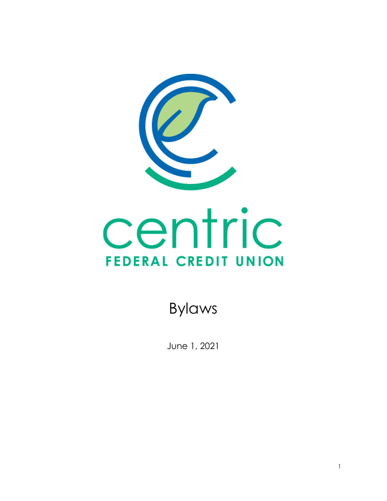

Bylaws

June 1, 2021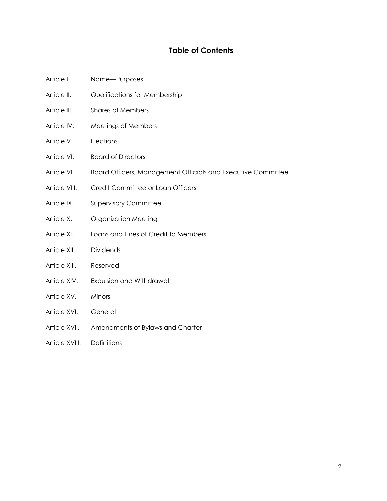# **Table of Contents**

- Article I. Name—Purposes
- Article II. **Qualifications for Membership**
- Article III. Shares of Members
- Article IV. Meetings of Members
- Article V. Elections
- Article VI. Board of Directors
- Article VII. Board Officers, Management Officials and Executive Committee
- Article VIII. Credit Committee or Loan Officers
- Article IX. Supervisory Committee
- Article X. Organization Meeting
- Article XI. Loans and Lines of Credit to Members
- Article XII. Dividends
- Article XIII. Reserved
- Article XIV. Expulsion and Withdrawal
- Article XV. Minors
- Article XVI. General
- Article XVII. Amendments of Bylaws and Charter
- Article XVIII. Definitions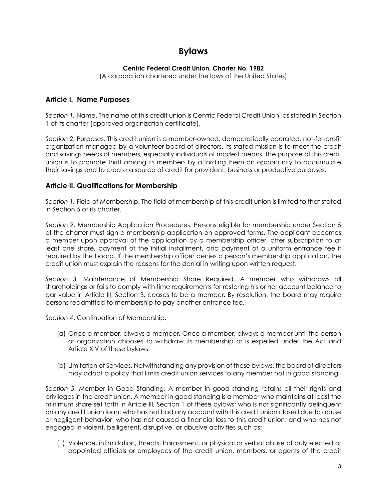# **Bylaws**

### **Centric Federal Credit Union, Charter No. 1982**

(A corporation chartered under the laws of the United States)

### **Article I. Name Purposes**

*Section 1.* Name. The name of this credit union is Centric Federal Credit Union, as stated in Section 1 of its charter (approved organization certificate).

*Section 2.* Purposes. This credit union is a member-owned, democratically operated, not-for-profit organization managed by a volunteer board of directors. Its stated mission is to meet the credit and savings needs of members, especially individuals of modest means. The purpose of this credit union is to promote thrift among its members by affording them an opportunity to accumulate their savings and to create a source of credit for provident, business or productive purposes.

### **Article II. Qualifications for Membership**

*Section 1.* Field of Membership. The field of membership of this credit union is limited to that stated in Section 5 of its charter.

*Section 2*. Membership Application Procedures. Persons eligible for membership under Section 5 of the charter must sign a membership application on approved forms. The applicant becomes a member upon approval of the application by a membership officer, after subscription to at least one share, payment of the initial installment, and payment of a uniform entrance fee if required by the board. If the membership officer denies a person's membership application, the credit union must explain the reasons for the denial in writing upon written request.

*Section 3.* Maintenance of Membership Share Required. A member who withdraws all shareholdings or fails to comply with time requirements for restoring his or her account balance to par value in Article III, Section 3, ceases to be a member. By resolution, the board may require persons readmitted to membership to pay another entrance fee.

*Section 4*. Continuation of Membership.

- (a) Once a member, always a member. Once a member, always a member until the person or organization chooses to withdraw its membership or is expelled under the Act and Article XIV of these bylaws.
- (b) Limitation of Services. Notwithstanding any provision of these bylaws, the board of directors may adopt a policy that limits credit union services to any member not in good standing.

*Section 5.* Member in Good Standing. A member in good standing retains all their rights and privileges in the credit union. A member in good standing is a member who maintains at least the minimum share set forth in Article III, Section 1 of these bylaws; who is not significantly delinquent on any credit union loan; who has not had any account with this credit union closed due to abuse or negligent behavior; who has not caused a financial loss to this credit union; and who has not engaged in violent, belligerent, disruptive, or abusive activities such as:

(1) Violence, intimidation, threats, harassment, or physical or verbal abuse of duly elected or appointed officials or employees of the credit union, members, or agents of the credit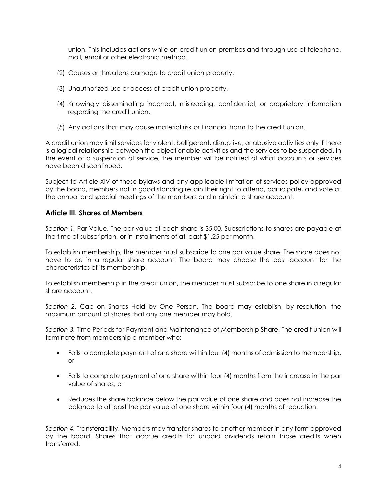union. This includes actions while on credit union premises and through use of telephone, mail, email or other electronic method.

- (2) Causes or threatens damage to credit union property.
- (3) Unauthorized use or access of credit union property.
- (4) Knowingly disseminating incorrect, misleading, confidential, or proprietary information regarding the credit union.
- (5) Any actions that may cause material risk or financial harm to the credit union.

A credit union may limit services for violent, belligerent, disruptive, or abusive activities only if there is a logical relationship between the objectionable activities and the services to be suspended. In the event of a suspension of service, the member will be notified of what accounts or services have been discontinued.

Subject to Article XIV of these bylaws and any applicable limitation of services policy approved by the board, members not in good standing retain their right to attend, participate, and vote at the annual and special meetings of the members and maintain a share account.

### **Article III. Shares of Members**

*Section 1.* Par Value. The par value of each share is \$5.00. Subscriptions to shares are payable at the time of subscription, or in installments of at least \$1.25 per month.

To establish membership, the member must subscribe to one par value share. The share does not have to be in a regular share account. The board may choose the best account for the characteristics of its membership.

To establish membership in the credit union, the member must subscribe to one share in a regular share account.

*Section 2.* Cap on Shares Held by One Person. The board may establish, by resolution, the maximum amount of shares that any one member may hold.

*Section 3.* Time Periods for Payment and Maintenance of Membership Share. The credit union will terminate from membership a member who:

- Fails to complete payment of one share within four (4) months of admission to membership, or
- Fails to complete payment of one share within four (4) months from the increase in the par value of shares, or
- Reduces the share balance below the par value of one share and does not increase the balance to at least the par value of one share within four (4) months of reduction.

*Section 4.* Transferability. Members may transfer shares to another member in any form approved by the board. Shares that accrue credits for unpaid dividends retain those credits when transferred.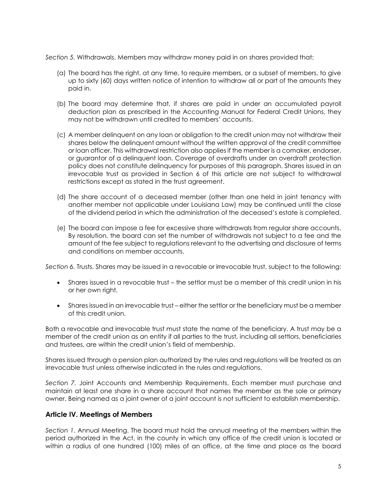*Section 5.* Withdrawals. Members may withdraw money paid in on shares provided that:

- (a) The board has the right, at any time, to require members, or a subset of members, to give up to sixty (60) days written notice of intention to withdraw all or part of the amounts they paid in.
- (b) The board may determine that, if shares are paid in under an accumulated payroll deduction plan as prescribed in the Accounting Manual for Federal Credit Unions, they may not be withdrawn until credited to members' accounts.
- (c) A member delinquent on any loan or obligation to the credit union may not withdraw their shares below the delinquent amount without the written approval of the credit committee or loan officer. This withdrawal restriction also applies if the member is a comaker, endorser, or guarantor of a delinquent loan. Coverage of overdrafts under an overdraft protection policy does not constitute delinquency for purposes of this paragraph. Shares issued in an irrevocable trust as provided in Section 6 of this article are not subject to withdrawal restrictions except as stated in the trust agreement.
- (d) The share account of a deceased member (other than one held in joint tenancy with another member not applicable under Louisiana Law) may be continued until the close of the dividend period in which the administration of the deceased's estate is completed.
- (e) The board can impose a fee for excessive share withdrawals from regular share accounts. By resolution, the board can set the number of withdrawals not subject to a fee and the amount of the fee subject to regulations relevant to the advertising and disclosure of terms and conditions on member accounts.

*Section 6.* Trusts. Shares may be issued in a revocable or irrevocable trust, subject to the following:

- Shares issued in a revocable trust the settlor must be a member of this credit union in his or her own right.
- Shares issued in an irrevocable trust either the settlor or the beneficiary must be a member of this credit union.

Both a revocable and irrevocable trust must state the name of the beneficiary. A trust may be a member of the credit union as an entity if all parties to the trust, including all settlors, beneficiaries and trustees, are within the credit union's field of membership.

Shares issued through a pension plan authorized by the rules and regulations will be treated as an irrevocable trust unless otherwise indicated in the rules and regulations.

*Section 7.* Joint Accounts and Membership Requirements. Each member must purchase and maintain at least one share in a share account that names the member as the sole or primary owner. Being named as a joint owner of a joint account is not sufficient to establish membership.

#### **Article IV. Meetings of Members**

*Section 1*. Annual Meeting. The board must hold the annual meeting of the members within the period authorized in the Act, in the county in which any office of the credit union is located or within a radius of one hundred (100) miles of an office, at the time and place as the board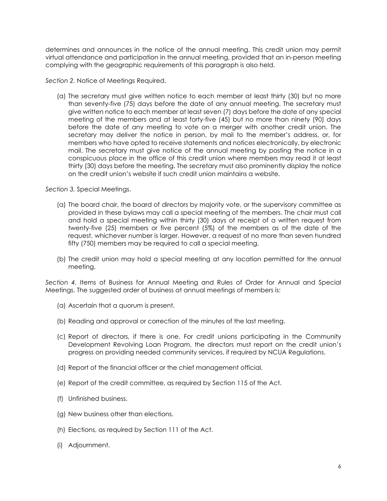determines and announces in the notice of the annual meeting. This credit union may permit virtual attendance and participation in the annual meeting, provided that an in-person meeting complying with the geographic requirements of this paragraph is also held.

*Section 2.* Notice of Meetings Required.

(a) The secretary must give written notice to each member at least thirty (30) but no more than seventy-five (75) days before the date of any annual meeting. The secretary must give written notice to each member at least seven (7) days before the date of any special meeting of the members and at least forty-five (45) but no more than ninety (90) days before the date of any meeting to vote on a merger with another credit union. The secretary may deliver the notice in person, by mail to the member's address, or, for members who have opted to receive statements and notices electronically, by electronic mail. The secretary must give notice of the annual meeting by posting the notice in a conspicuous place in the office of this credit union where members may read it at least thirty (30) days before the meeting. The secretary must also prominently display the notice on the credit union's website if such credit union maintains a website.

*Section 3.* Special Meetings.

- (a) The board chair, the board of directors by majority vote, or the supervisory committee as provided in these bylaws may call a special meeting of the members. The chair must call and hold a special meeting within thirty (30) days of receipt of a written request from twenty-five (25) members or five percent (5%) of the members as of the date of the request, whichever number is larger. However, a request of no more than seven hundred fifty (750) members may be required to call a special meeting.
- (b) The credit union may hold a special meeting at any location permitted for the annual meeting.

*Section 4.* Items of Business for Annual Meeting and Rules of Order for Annual and Special Meetings. The suggested order of business at annual meetings of members is:

- (a) Ascertain that a quorum is present.
- (b) Reading and approval or correction of the minutes of the last meeting.
- (c) Report of directors, if there is one. For credit unions participating in the Community Development Revolving Loan Program, the directors must report on the credit union's progress on providing needed community services, if required by NCUA Regulations.
- (d) Report of the financial officer or the chief management official.
- (e) Report of the credit committee, as required by Section 115 of the Act.
- (f) Unfinished business.
- (g) New business other than elections.
- (h) Elections, as required by Section 111 of the Act.
- (i) Adjournment.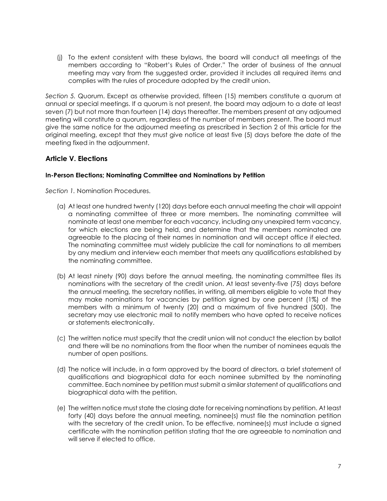(j) To the extent consistent with these bylaws, the board will conduct all meetings of the members according to "Robert's Rules of Order." The order of business of the annual meeting may vary from the suggested order, provided it includes all required items and complies with the rules of procedure adopted by the credit union.

*Section 5.* Quorum. Except as otherwise provided, fifteen (15) members constitute a quorum at annual or special meetings. If a quorum is not present, the board may adjourn to a date at least seven (7) but not more than fourteen (14) days thereafter. The members present at any adjourned meeting will constitute a quorum, regardless of the number of members present. The board must give the same notice for the adjourned meeting as prescribed in Section 2 of this article for the original meeting, except that they must give notice at least five (5) days before the date of the meeting fixed in the adjournment.

### **Article V. Elections**

#### **In-Person Elections; Nominating Committee and Nominations by Petition**

*Section 1.* Nomination Procedures.

- (a) At least one hundred twenty (120) days before each annual meeting the chair will appoint a nominating committee of three or more members. The nominating committee will nominate at least one member for each vacancy, including any unexpired term vacancy, for which elections are being held, and determine that the members nominated are agreeable to the placing of their names in nomination and will accept office if elected. The nominating committee must widely publicize the call for nominations to all members by any medium and interview each member that meets any qualifications established by the nominating committee.
- (b) At least ninety (90) days before the annual meeting, the nominating committee files its nominations with the secretary of the credit union. At least seventy-five (75) days before the annual meeting, the secretary notifies, in writing, all members eligible to vote that they may make nominations for vacancies by petition signed by one percent (1%) of the members with a minimum of twenty (20) and a maximum of five hundred (500). The secretary may use electronic mail to notify members who have opted to receive notices or statements electronically.
- (c) The written notice must specify that the credit union will not conduct the election by ballot and there will be no nominations from the floor when the number of nominees equals the number of open positions.
- (d) The notice will include, in a form approved by the board of directors, a brief statement of qualifications and biographical data for each nominee submitted by the nominating committee. Each nominee by petition must submit a similar statement of qualifications and biographical data with the petition.
- (e) The written notice must state the closing date for receiving nominations by petition. At least forty (40) days before the annual meeting, nominee(s) must file the nomination petition with the secretary of the credit union. To be effective, nominee(s) must include a signed certificate with the nomination petition stating that the are agreeable to nomination and will serve if elected to office.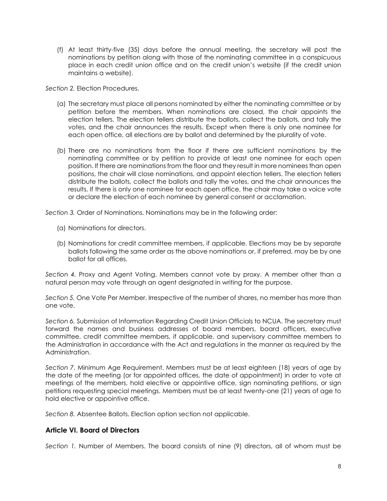(f) At least thirty-five (35) days before the annual meeting, the secretary will post the nominations by petition along with those of the nominating committee in a conspicuous place in each credit union office and on the credit union's website (if the credit union maintains a website).

*Section 2.* Election Procedures.

- (a) The secretary must place all persons nominated by either the nominating committee or by petition before the members. When nominations are closed, the chair appoints the election tellers. The election tellers distribute the ballots, collect the ballots, and tally the votes, and the chair announces the results. Except when there is only one nominee for each open office, all elections are by ballot and determined by the plurality of vote.
- (b) There are no nominations from the floor if there are sufficient nominations by the nominating committee or by petition to provide at least one nominee for each open position. If there are nominations from the floor and they result in more nominees than open positions, the chair will close nominations, and appoint election tellers. The election tellers distribute the ballots, collect the ballots and tally the votes, and the chair announces the results. If there is only one nominee for each open office, the chair may take a voice vote or declare the election of each nominee by general consent or acclamation.

*Section 3.* Order of Nominations. Nominations may be in the following order:

- (a) Nominations for directors.
- (b) Nominations for credit committee members, if applicable. Elections may be by separate ballots following the same order as the above nominations or, if preferred, may be by one ballot for all offices.

*Section 4.* Proxy and Agent Voting. Members cannot vote by proxy. A member other than a natural person may vote through an agent designated in writing for the purpose.

*Section 5.* One Vote Per Member. Irrespective of the number of shares, no member has more than one vote.

*Section 6.* Submission of Information Regarding Credit Union Officials to NCUA. The secretary must forward the names and business addresses of board members, board officers, executive committee, credit committee members, if applicable, and supervisory committee members to the Administration in accordance with the Act and regulations in the manner as required by the Administration.

*Section 7.* Minimum Age Requirement. Members must be at least eighteen (18) years of age by the date of the meeting (or for appointed offices, the date of appointment) in order to vote at meetings of the members, hold elective or appointive office, sign nominating petitions, or sign petitions requesting special meetings. Members must be at least twenty-one (21) years of age to hold elective or appointive office.

*Section 8.* Absentee Ballots. Election option section not applicable.

### **Article VI. Board of Directors**

*Section 1.* Number of Members. The board consists of nine (9) directors, all of whom must be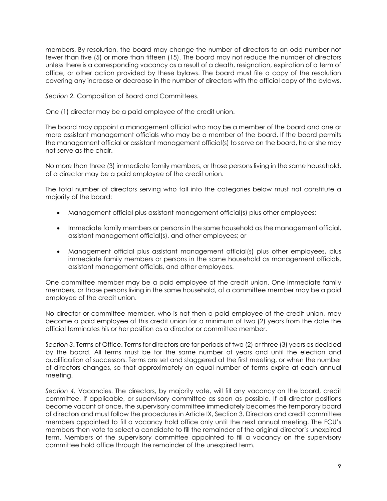members. By resolution, the board may change the number of directors to an odd number not fewer than five (5) or more than fifteen (15). The board may not reduce the number of directors unless there is a corresponding vacancy as a result of a death, resignation, expiration of a term of office, or other action provided by these bylaws. The board must file a copy of the resolution covering any increase or decrease in the number of directors with the official copy of the bylaws.

*Section 2.* Composition of Board and Committees.

One (1) director may be a paid employee of the credit union.

The board may appoint a management official who may be a member of the board and one or more assistant management officials who may be a member of the board. If the board permits the management official or assistant management official(s) to serve on the board, he or she may not serve as the chair.

No more than three (3) immediate family members, or those persons living in the same household, of a director may be a paid employee of the credit union.

The total number of directors serving who fall into the categories below must not constitute a majority of the board:

- Management official plus assistant management official(s) plus other employees;
- Immediate family members or persons in the same household as the management official, assistant management official(s), and other employees; or
- Management official plus assistant management official(s) plus other employees, plus immediate family members or persons in the same household as management officials, assistant management officials, and other employees.

One committee member may be a paid employee of the credit union. One immediate family members, or those persons living in the same household, of a committee member may be a paid employee of the credit union.

No director or committee member, who is not then a paid employee of the credit union, may become a paid employee of this credit union for a minimum of two (2) years from the date the official terminates his or her position as a director or committee member.

*Section 3*. Terms of Office. Terms for directors are for periods of two (2) or three (3) years as decided by the board. All terms must be for the same number of years and until the election and qualification of successors. Terms are set and staggered at the first meeting, or when the number of directors changes, so that approximately an equal number of terms expire at each annual meeting.

*Section 4.* Vacancies. The directors, by majority vote, will fill any vacancy on the board, credit committee, if applicable, or supervisory committee as soon as possible. If all director positions become vacant at once, the supervisory committee immediately becomes the temporary board of directors and must follow the procedures in Article IX, Section 3. Directors and credit committee members appointed to fill a vacancy hold office only until the next annual meeting. The FCU's members then vote to select a candidate to fill the remainder of the original director's unexpired term. Members of the supervisory committee appointed to fill a vacancy on the supervisory committee hold office through the remainder of the unexpired term.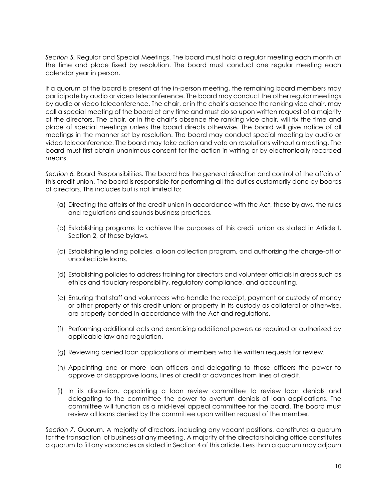*Section 5.* Regular and Special Meetings. The board must hold a regular meeting each month at the time and place fixed by resolution. The board must conduct one regular meeting each calendar year in person.

If a quorum of the board is present at the in-person meeting, the remaining board members may participate by audio or video teleconference. The board may conduct the other regular meetings by audio or video teleconference. The chair, or in the chair's absence the ranking vice chair, may call a special meeting of the board at any time and must do so upon written request of a majority of the directors. The chair, or in the chair's absence the ranking vice chair, will fix the time and place of special meetings unless the board directs otherwise. The board will give notice of all meetings in the manner set by resolution. The board may conduct special meeting by audio or video teleconference. The board may take action and vote on resolutions without a meeting. The board must first obtain unanimous consent for the action in writing or by electronically recorded means

*Section 6.* Board Responsibilities. The board has the general direction and control of the affairs of this credit union. The board is responsible for performing all the duties customarily done by boards of directors. This includes but is not limited to:

- (a) Directing the affairs of the credit union in accordance with the Act, these bylaws, the rules and regulations and sounds business practices.
- (b) Establishing programs to achieve the purposes of this credit union as stated in Article I, Section 2, of these bylaws.
- (c) Establishing lending policies, a loan collection program, and authorizing the charge-off of uncollectible loans.
- (d) Establishing policies to address training for directors and volunteer officials in areas such as ethics and fiduciary responsibility, regulatory compliance, and accounting.
- (e) Ensuring that staff and volunteers who handle the receipt, payment or custody of money or other property of this credit union; or property in its custody as collateral or otherwise, are properly bonded in accordance with the Act and regulations.
- (f) Performing additional acts and exercising additional powers as required or authorized by applicable law and regulation.
- (g) Reviewing denied loan applications of members who file written requests for review.
- (h) Appointing one or more loan officers and delegating to those officers the power to approve or disapprove loans, lines of credit or advances from lines of credit.
- (i) In its discretion, appointing a loan review committee to review loan denials and delegating to the committee the power to overturn denials of loan applications. The committee will function as a mid-level appeal committee for the board. The board must review all loans denied by the committee upon written request of the member.

*Section 7*. Quorum. A majority of directors, including any vacant positions, constitutes a quorum for the transaction of business at any meeting. A majority of the directors holding office constitutes a quorum to fill any vacancies as stated in Section 4 of this article. Less than a quorum may adjourn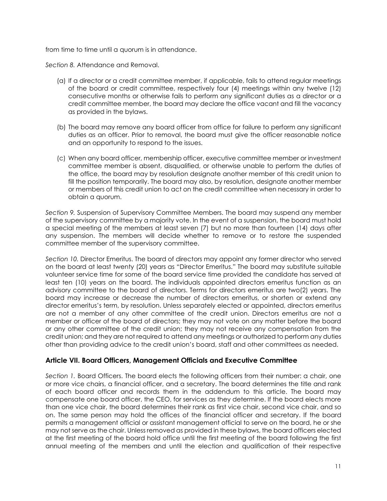from time to time until a quorum is in attendance.

*Section 8.* Attendance and Removal.

- (a) If a director or a credit committee member, if applicable, fails to attend regular meetings of the board or credit committee, respectively four (4) meetings within any twelve (12) consecutive months or otherwise fails to perform any significant duties as a director or a credit committee member, the board may declare the office vacant and fill the vacancy as provided in the bylaws.
- (b) The board may remove any board officer from office for failure to perform any significant duties as an officer. Prior to removal, the board must give the officer reasonable notice and an opportunity to respond to the issues.
- (c) When any board officer, membership officer, executive committee member or investment committee member is absent, disqualified, or otherwise unable to perform the duties of the office, the board may by resolution designate another member of this credit union to fill the position temporarily. The board may also, by resolution, designate another member or members of this credit union to act on the credit committee when necessary in order to obtain a quorum.

*Section 9.* Suspension of Supervisory Committee Members. The board may suspend any member of the supervisory committee by a majority vote. In the event of a suspension, the board must hold a special meeting of the members at least seven (7) but no more than fourteen (14) days after any suspension. The members will decide whether to remove or to restore the suspended committee member of the supervisory committee.

*Section 10.* Director Emeritus. The board of directors may appoint any former director who served on the board at least twenty (20) years as "Director Emeritus." The board may substitute suitable volunteer service time for some of the board service time provided the candidate has served at least ten (10) years on the board. The individuals appointed directors emeritus function as an advisory committee to the board of directors. Terms for directors emeritus are two(2) years. The board may increase or decrease the number of directors emeritus, or shorten or extend any director emeritus's term, by resolution. Unless separately elected or appointed, directors emeritus are not a member of any other committee of the credit union. Directors emeritus are not a member or officer of the board of directors; they may not vote on any matter before the board or any other committee of the credit union; they may not receive any compensation from the credit union; and they are not required to attend any meetings or authorized to perform any duties other than providing advice to the credit union's board, staff and other committees as needed.

### **Article VII. Board Officers, Management Officials and Executive Committee**

Section 1. Board Officers. The board elects the following officers from their number: a chair, one or more vice chairs, a financial officer, and a secretary. The board determines the title and rank of each board officer and records them in the addendum to this article. The board may compensate one board officer, the CEO, for services as they determine. If the board elects more than one vice chair, the board determines their rank as first vice chair, second vice chair, and so on. The same person may hold the offices of the financial officer and secretary. If the board permits a management official or assistant management official to serve on the board, he or she may not serve as the chair. Unless removed as provided in these bylaws, the board officers elected at the first meeting of the board hold office until the first meeting of the board following the first annual meeting of the members and until the election and qualification of their respective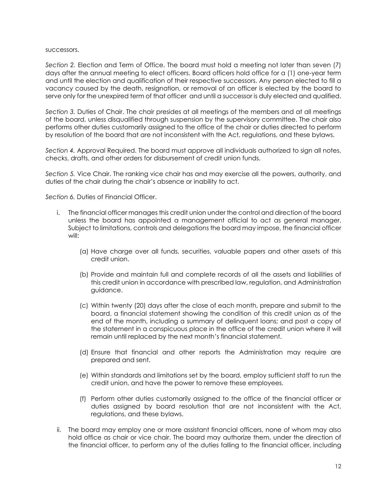#### successors.

*Section 2.* Election and Term of Office. The board must hold a meeting not later than seven (7) days after the annual meeting to elect officers. Board officers hold office for a (1) one-year term and until the election and qualification of their respective successors. Any person elected to fill a vacancy caused by the death, resignation, or removal of an officer is elected by the board to serve only for the unexpired term of that officer and until a successor is duly elected and qualified.

*Section 3.* Duties of Chair. The chair presides at all meetings of the members and at all meetings of the board, unless disqualified through suspension by the supervisory committee. The chair also performs other duties customarily assigned to the office of the chair or duties directed to perform by resolution of the board that are not inconsistent with the Act, regulations, and these bylaws.

*Section 4.* Approval Required. The board must approve all individuals authorized to sign all notes, checks, drafts, and other orders for disbursement of credit union funds.

*Section 5.* Vice Chair. The ranking vice chair has and may exercise all the powers, authority, and duties of the chair during the chair's absence or inability to act.

*Section 6.* Duties of Financial Officer.

- i. The financial officer manages this credit union under the control and direction of the board unless the board has appointed a management official to act as general manager. Subject to limitations, controls and delegations the board may impose, the financial officer will:
	- (a) Have charge over all funds, securities, valuable papers and other assets of this credit union.
	- (b) Provide and maintain full and complete records of all the assets and liabilities of this credit union in accordance with prescribed law, regulation, and Administration guidance.
	- (c) Within twenty (20) days after the close of each month, prepare and submit to the board, a financial statement showing the condition of this credit union as of the end of the month, including a summary of delinquent loans; and post a copy of the statement in a conspicuous place in the office of the credit union where it will remain until replaced by the next month's financial statement.
	- (d) Ensure that financial and other reports the Administration may require are prepared and sent.
	- (e) Within standards and limitations set by the board, employ sufficient staff to run the credit union, and have the power to remove these employees.
	- (f) Perform other duties customarily assigned to the office of the financial officer or duties assigned by board resolution that are not inconsistent with the Act, regulations, and these bylaws.
- ii. The board may employ one or more assistant financial officers, none of whom may also hold office as chair or vice chair. The board may authorize them, under the direction of the financial officer, to perform any of the duties falling to the financial officer, including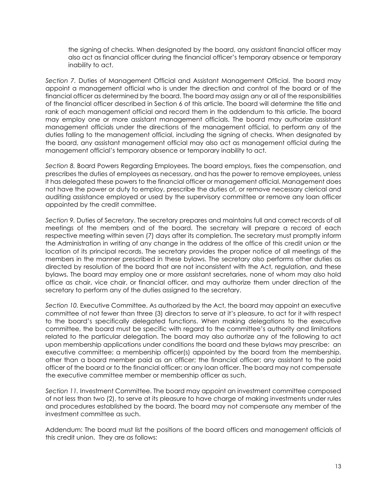the signing of checks. When designated by the board, any assistant financial officer may also act as financial officer during the financial officer's temporary absence or temporary inability to act.

*Section 7.* Duties of Management Official and Assistant Management Official. The board may appoint a management official who is under the direction and control of the board or of the financial officer as determined by the board. The board may assign any or all of the responsibilities of the financial officer described in Section 6 of this article. The board will determine the title and rank of each management official and record them in the addendum to this article. The board may employ one or more assistant management officials. The board may authorize assistant management officials under the directions of the management official, to perform any of the duties falling to the management official, including the signing of checks. When designated by the board, any assistant management official may also act as management official during the management official's temporary absence or temporary inability to act.

*Section 8.* Board Powers Regarding Employees. The board employs, fixes the compensation, and prescribes the duties of employees as necessary, and has the power to remove employees, unless it has delegated these powers to the financial officer or management official. Management does not have the power or duty to employ, prescribe the duties of, or remove necessary clerical and auditing assistance employed or used by the supervisory committee or remove any loan officer appointed by the credit committee.

*Section 9.* Duties of Secretary. The secretary prepares and maintains full and correct records of all meetings of the members and of the board. The secretary will prepare a record of each respective meeting within seven (7) days after its completion. The secretary must promptly inform the Administration in writing of any change in the address of the office of this credit union or the location of its principal records. The secretary provides the proper notice of all meetings of the members in the manner prescribed in these bylaws. The secretary also performs other duties as directed by resolution of the board that are not inconsistent with the Act, regulation, and these bylaws. The board may employ one or more assistant secretaries, none of whom may also hold office as chair, vice chair, or financial officer, and may authorize them under direction of the secretary to perform any of the duties assigned to the secretary.

*Section 10.* Executive Committee. As authorized by the Act, the board may appoint an executive committee of not fewer than three (3) directors to serve at it's pleasure, to act for it with respect to the board's specifically delegated functions. When making delegations to the executive committee, the board must be specific with regard to the committee's authority and limitations related to the particular delegation. The board may also authorize any of the following to act upon membership applications under conditions the board and these bylaws may prescribe: an executive committee; a membership officer(s) appointed by the board from the membership, other than a board member paid as an officer; the financial officer; any assistant to the paid officer of the board or to the financial officer; or any loan officer. The board may not compensate the executive committee member or membership officer as such.

*Section 11.* Investment Committee. The board may appoint an investment committee composed of not less than two (2), to serve at its pleasure to have charge of making investments under rules and procedures established by the board. The board may not compensate any member of the investment committee as such.

Addendum: The board must list the positions of the board officers and management officials of this credit union. They are as follows: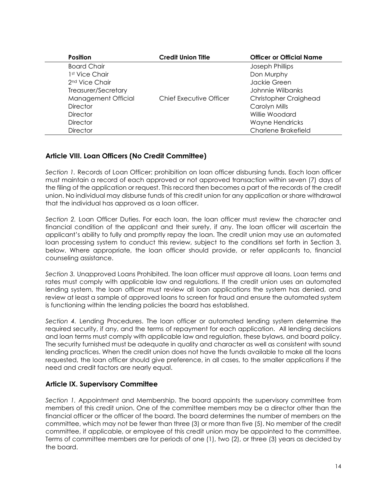| <b>Position</b>            | <b>Credit Union Title</b> | <b>Officer or Official Name</b> |
|----------------------------|---------------------------|---------------------------------|
| <b>Board Chair</b>         |                           | Joseph Phillips                 |
| 1st Vice Chair             |                           | Don Murphy                      |
| 2 <sup>nd</sup> Vice Chair |                           | Jackie Green                    |
| Treasurer/Secretary        |                           | Johnnie Wilbanks                |
| Management Official        | Chief Executive Officer   | Christopher Craighead           |
| <b>Director</b>            |                           | Carolyn Mills                   |
| <b>Director</b>            |                           | Willie Woodard                  |
| <b>Director</b>            |                           | Wayne Hendricks                 |
| <b>Director</b>            |                           | Charlene Brakefield             |

# **Article VIII. Loan Officers (No Credit Committee)**

*Section 1.* Records of Loan Officer; prohibition on loan officer disbursing funds. Each loan officer must maintain a record of each approved or not approved transaction within seven (7) days of the filing of the application or request. This record then becomes a part of the records of the credit union. No individual may disburse funds of this credit union for any application or share withdrawal that the individual has approved as a loan officer.

*Section 2.* Loan Officer Duties. For each loan, the loan officer must review the character and financial condition of the applicant and their surety, if any. The loan officer will ascertain the applicant's ability to fully and promptly repay the loan. The credit union may use an automated loan processing system to conduct this review, subject to the conditions set forth in Section 3, below. Where appropriate, the loan officer should provide, or refer applicants to, financial counseling assistance.

*Section 3.* Unapproved Loans Prohibited. The loan officer must approve all loans. Loan terms and rates must comply with applicable law and regulations. If the credit union uses an automated lending system, the loan officer must review all loan applications the system has denied, and review at least a sample of approved loans to screen for fraud and ensure the automated system is functioning within the lending policies the board has established.

*Section 4.* Lending Procedures. The loan officer or automated lending system determine the required security, if any, and the terms of repayment for each application. All lending decisions and loan terms must comply with applicable law and regulation, these bylaws, and board policy. The security furnished must be adequate in quality and character as well as consistent with sound lending practices. When the credit union does not have the funds available to make all the loans requested, the loan officer should give preference, in all cases, to the smaller applications if the need and credit factors are nearly equal.

### **Article IX. Supervisory Committee**

*Section 1.* Appointment and Membership. The board appoints the supervisory committee from members of this credit union. One of the committee members may be a director other than the financial officer or the officer of the board. The board determines the number of members on the committee, which may not be fewer than three (3) or more than five (5). No member of the credit committee, if applicable, or employee of this credit union may be appointed to the committee. Terms of committee members are for periods of one (1), two (2), or three (3) years as decided by the board.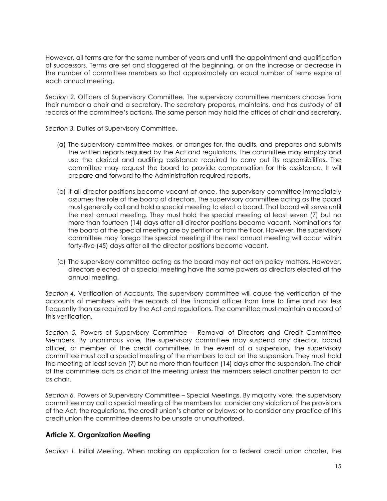However, all terms are for the same number of years and until the appointment and qualification of successors. Terms are set and staggered at the beginning, or on the increase or decrease in the number of committee members so that approximately an equal number of terms expire at each annual meeting.

*Section 2.* Officers of Supervisory Committee. The supervisory committee members choose from their number a chair and a secretary. The secretary prepares, maintains, and has custody of all records of the committee's actions. The same person may hold the offices of chair and secretary.

*Section 3.* Duties of Supervisory Committee.

- (a) The supervisory committee makes, or arranges for, the audits, and prepares and submits the written reports required by the Act and regulations. The committee may employ and use the clerical and auditing assistance required to carry out its responsibilities. The committee may request the board to provide compensation for this assistance. It will prepare and forward to the Administration required reports.
- (b) If all director positions become vacant at once, the supervisory committee immediately assumes the role of the board of directors. The supervisory committee acting as the board must generally call and hold a special meeting to elect a board. That board will serve until the next annual meeting. They must hold the special meeting at least seven (7) but no more than fourteen (14) days after all director positions became vacant. Nominations for the board at the special meeting are by petition or from the floor. However, the supervisory committee may forego the special meeting if the next annual meeting will occur within forty-five (45) days after all the director positions become vacant.
- (c) The supervisory committee acting as the board may not act on policy matters. However, directors elected at a special meeting have the same powers as directors elected at the annual meeting.

*Section 4.* Verification of Accounts. The supervisory committee will cause the verification of the accounts of members with the records of the financial officer from time to time and not less frequently than as required by the Act and regulations. The committee must maintain a record of this verification.

*Section 5.* Powers of Supervisory Committee – Removal of Directors and Credit Committee Members. By unanimous vote, the supervisory committee may suspend any director, board officer, or member of the credit committee. In the event of a suspension, the supervisory committee must call a special meeting of the members to act on the suspension. They must hold the meeting at least seven (7) but no more than fourteen (14) days after the suspension. The chair of the committee acts as chair of the meeting unless the members select another person to act as chair.

*Section 6.* Powers of Supervisory Committee – Special Meetings. By majority vote, the supervisory committee may call a special meeting of the members to: consider any violation of the provisions of the Act, the regulations, the credit union's charter or bylaws; or to consider any practice of this credit union the committee deems to be unsafe or unauthorized.

# **Article X. Organization Meeting**

*Section 1.* Initial Meeting. When making an application for a federal credit union charter, the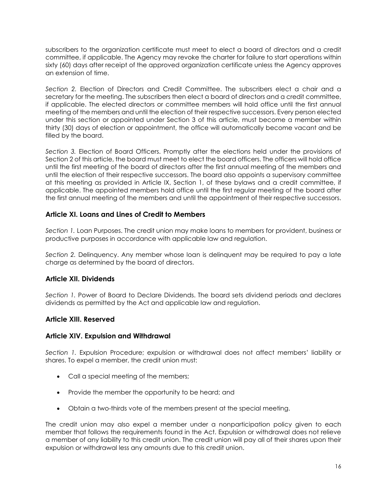subscribers to the organization certificate must meet to elect a board of directors and a credit committee, if applicable. The Agency may revoke the charter for failure to start operations within sixty (60) days after receipt of the approved organization certificate unless the Agency approves an extension of time.

*Section 2.* Election of Directors and Credit Committee. The subscribers elect a chair and a secretary for the meeting. The subscribers then elect a board of directors and a credit committee, if applicable. The elected directors or committee members will hold office until the first annual meeting of the members and until the election of their respective successors. Every person elected under this section or appointed under Section 3 of this article, must become a member within thirty (30) days of election or appointment, the office will automatically become vacant and be filled by the board.

*Section 3.* Election of Board Officers. Promptly after the elections held under the provisions of Section 2 of this article, the board must meet to elect the board officers. The officers will hold office until the first meeting of the board of directors after the first annual meeting of the members and until the election of their respective successors. The board also appoints a supervisory committee at this meeting as provided in Article IX, Section 1, of these bylaws and a credit committee, if applicable. The appointed members hold office until the first regular meeting of the board after the first annual meeting of the members and until the appointment of their respective successors.

# **Article XI. Loans and Lines of Credit to Members**

*Section 1.* Loan Purposes. The credit union may make loans to members for provident, business or productive purposes in accordance with applicable law and regulation.

*Section 2.* Delinquency. Any member whose loan is delinquent may be required to pay a late charge as determined by the board of directors.

# **Article XII. Dividends**

*Section 1.* Power of Board to Declare Dividends. The board sets dividend periods and declares dividends as permitted by the Act and applicable law and regulation.

### **Article XIII. Reserved**

### **Article XIV. Expulsion and Withdrawal**

*Section 1.* Expulsion Procedure; expulsion or withdrawal does not affect members' liability or shares. To expel a member, the credit union must:

- Call a special meeting of the members;
- Provide the member the opportunity to be heard; and
- Obtain a two-thirds vote of the members present at the special meeting.

The credit union may also expel a member under a nonparticipation policy given to each member that follows the requirements found in the Act. Expulsion or withdrawal does not relieve a member of any liability to this credit union. The credit union will pay all of their shares upon their expulsion or withdrawal less any amounts due to this credit union.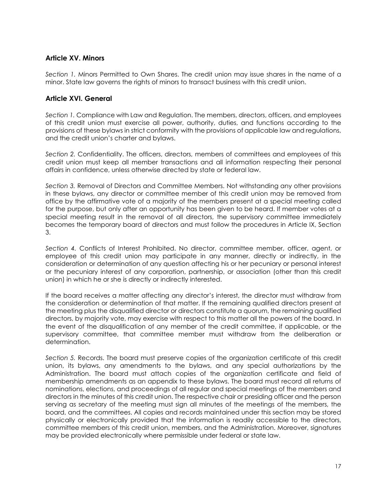### **Article XV. Minors**

*Section 1.* Minors Permitted to Own Shares. The credit union may issue shares in the name of a minor. State law governs the rights of minors to transact business with this credit union.

### **Article XVI. General**

*Section 1.* Compliance with Law and Regulation. The members, directors, officers, and employees of this credit union must exercise all power, authority, duties, and functions according to the provisions of these bylaws in strict conformity with the provisions of applicable law and regulations, and the credit union's charter and bylaws.

*Section 2.* Confidentiality. The officers, directors, members of committees and employees of this credit union must keep all member transactions and all information respecting their personal affairs in confidence, unless otherwise directed by state or federal law.

*Section 3.* Removal of Directors and Committee Members. Not withstanding any other provisions in these bylaws, any director or committee member of this credit union may be removed from office by the affirmative vote of a majority of the members present at a special meeting called for the purpose, but only after an opportunity has been given to be heard. If member votes at a special meeting result in the removal of all directors, the supervisory committee immediately becomes the temporary board of directors and must follow the procedures in Article IX, Section 3.

*Section 4.* Conflicts of Interest Prohibited. No director, committee member, officer, agent, or employee of this credit union may participate in any manner, directly or indirectly, in the consideration or determination of any question affecting his or her pecuniary or personal interest or the pecuniary interest of any corporation, partnership, or association (other than this credit union) in which he or she is directly or indirectly interested.

If the board receives a matter affecting any director's interest, the director must withdraw from the consideration or determination of that matter. If the remaining qualified directors present at the meeting plus the disqualified director or directors constitute a quorum, the remaining qualified directors, by majority vote, may exercise with respect to this matter all the powers of the board. In the event of the disqualification of any member of the credit committee, if applicable, or the supervisory committee, that committee member must withdraw from the deliberation or determination.

*Section 5.* Records. The board must preserve copies of the organization certificate of this credit union, its bylaws, any amendments to the bylaws, and any special authorizations by the Administration. The board must attach copies of the organization certificate and field of membership amendments as an appendix to these bylaws. The board must record all returns of nominations, elections, and proceedings of all regular and special meetings of the members and directors in the minutes of this credit union. The respective chair or presiding officer and the person serving as secretary of the meeting must sign all minutes of the meetings of the members, the board, and the committees. All copies and records maintained under this section may be stored physically or electronically provided that the information is readily accessible to the directors, committee members of this credit union, members, and the Administration. Moreover, signatures may be provided electronically where permissible under federal or state law.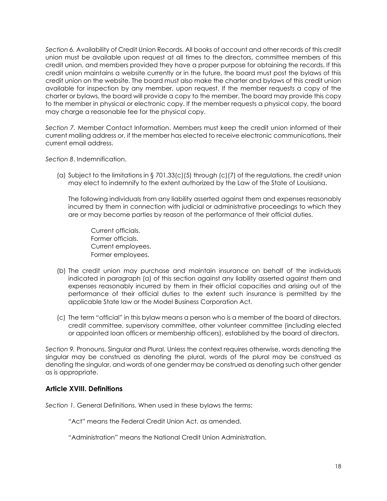*Section 6.* Availability of Credit Union Records. All books of account and other records of this credit union must be available upon request at all times to the directors, committee members of this credit union, and members provided they have a proper purpose for obtaining the records. If this credit union maintains a website currently or in the future, the board must post the bylaws of this credit union on the website. The board must also make the charter and bylaws of this credit union available for inspection by any member, upon request. If the member requests a copy of the charter or bylaws, the board will provide a copy to the member. The board may provide this copy to the member in physical or electronic copy. If the member requests a physical copy, the board may charge a reasonable fee for the physical copy.

*Section 7.* Member Contact Information. Members must keep the credit union informed of their current mailing address or, if the member has elected to receive electronic communications, their current email address.

*Section 8*. Indemnification.

(a) Subject to the limitations in § 701.33(c)(5) through (c)(7) of the regulations, the credit union may elect to indemnify to the extent authorized by the Law of the State of Louisiana.

The following individuals from any liability asserted against them and expenses reasonably incurred by them in connection with judicial or administrative proceedings to which they are or may become parties by reason of the performance of their official duties.

Current officials. Former officials. Current employees. Former employees.

- (b) The credit union may purchase and maintain insurance on behalf of the individuals indicated in paragraph (a) of this section against any liability asserted against them and expenses reasonably incurred by them in their official capacities and arising out of the performance of their official duties to the extent such insurance is permitted by the applicable State law or the Model Business Corporation Act.
- (c) The term "official" in this bylaw means a person who is a member of the board of directors, credit committee, supervisory committee, other volunteer committee (including elected or appointed loan officers or membership officers), established by the board of directors.

*Section 9.* Pronouns, Singular and Plural. Unless the context requires otherwise, words denoting the singular may be construed as denoting the plural, words of the plural may be construed as denoting the singular, and words of one gender may be construed as denoting such other gender as is appropriate.

### **Article XVIII. Definitions**

*Section 1.* General Definitions. When used in these bylaws the terms:

"Act" means the Federal Credit Union Act, as amended.

"Administration" means the National Credit Union Administration.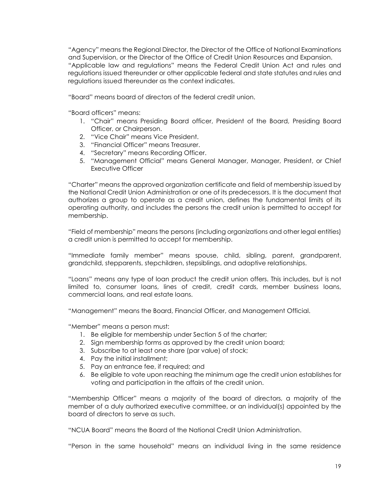"Agency" means the Regional Director, the Director of the Office of National Examinations and Supervision, or the Director of the Office of Credit Union Resources and Expansion. "Applicable law and regulations" means the Federal Credit Union Act and rules and regulations issued thereunder or other applicable federal and state statutes and rules and regulations issued thereunder as the context indicates.

"Board" means board of directors of the federal credit union.

"Board officers" means:

- 1. "Chair" means Presiding Board officer, President of the Board, Presiding Board Officer, or Chairperson.
- 2. "Vice Chair" means Vice President.
- 3. "Financial Officer" means Treasurer.
- 4. "Secretary" means Recording Officer.
- 5. "Management Official" means General Manager, Manager, President, or Chief Executive Officer

"Charter" means the approved organization certificate and field of membership issued by the National Credit Union Administration or one of its predecessors. It is the document that authorizes a group to operate as a credit union, defines the fundamental limits of its operating authority, and includes the persons the credit union is permitted to accept for membership.

"Field of membership" means the persons (including organizations and other legal entities) a credit union is permitted to accept for membership.

"Immediate family member" means spouse, child, sibling, parent, grandparent, grandchild, stepparents, stepchildren, stepsiblings, and adoptive relationships.

"Loans" means any type of loan product the credit union offers. This includes, but is not limited to, consumer loans, lines of credit, credit cards, member business loans, commercial loans, and real estate loans.

"Management" means the Board, Financial Officer, and Management Official.

"Member" means a person must:

- 1. Be eligible for membership under Section 5 of the charter;
- 2. Sign membership forms as approved by the credit union board;
- 3. Subscribe to at least one share (par value) of stock;
- 4. Pay the initial installment;
- 5. Pay an entrance fee, if required; and
- 6. Be eligible to vote upon reaching the minimum age the credit union establishes for voting and participation in the affairs of the credit union.

"Membership Officer" means a majority of the board of directors, a majority of the member of a duly authorized executive committee, or an individual(s) appointed by the board of directors to serve as such.

"NCUA Board" means the Board of the National Credit Union Administration.

"Person in the same household" means an individual living in the same residence